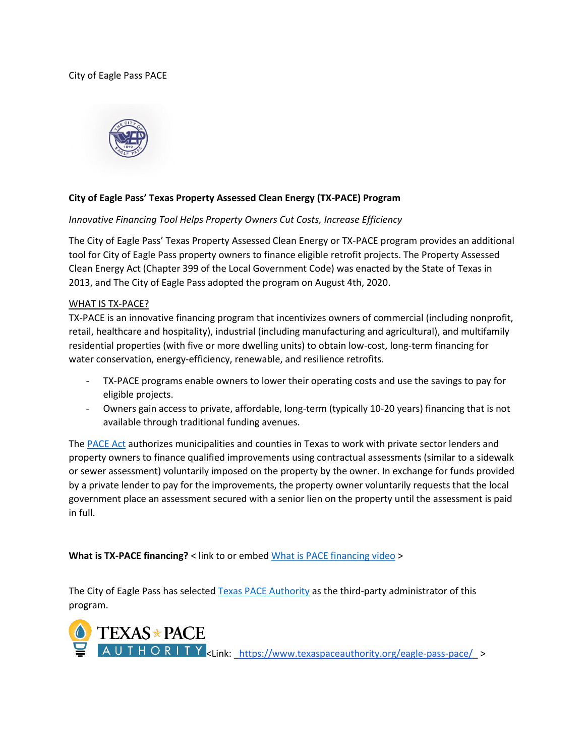## City of Eagle Pass PACE



# **City of Eagle Pass' Texas Property Assessed Clean Energy (TX-PACE) Program**

## *Innovative Financing Tool Helps Property Owners Cut Costs, Increase Efficiency*

The City of Eagle Pass' Texas Property Assessed Clean Energy or TX-PACE program provides an additional tool for City of Eagle Pass property owners to finance eligible retrofit projects. The Property Assessed Clean Energy Act (Chapter 399 of the Local Government Code) was enacted by the State of Texas in 2013, and The City of Eagle Pass adopted the program on August 4th, 2020.

#### WHAT IS TX-PACE?

TX-PACE is an innovative financing program that incentivizes owners of commercial (including nonprofit, retail, healthcare and hospitality), industrial (including manufacturing and agricultural), and multifamily residential properties (with five or more dwelling units) to obtain low-cost, long-term financing for water conservation, energy-efficiency, renewable, and resilience retrofits.

- TX-PACE programs enable owners to lower their operating costs and use the savings to pay for eligible projects.
- Owners gain access to private, affordable, long-term (typically 10-20 years) financing that is not available through traditional funding avenues.

The [PACE Act](http://www.statutes.legis.state.tx.us/Docs/LG/htm/LG.399.htm) authorizes municipalities and counties in Texas to work with private sector lenders and property owners to finance qualified improvements using contractual assessments (similar to a sidewalk or sewer assessment) voluntarily imposed on the property by the owner. In exchange for funds provided by a private lender to pay for the improvements, the property owner voluntarily requests that the local government place an assessment secured with a senior lien on the property until the assessment is paid in full.

**What is TX-PACE financing?** < link to or embed [What is PACE financing video](https://www.youtube.com/watch?v=5gnN72buvw4&feature=youtu.be) >

The City of Eagle Pass has selected [Texas PACE Authority](http://www.texaspaceauthority.org/) as the third-party administrator of this program.

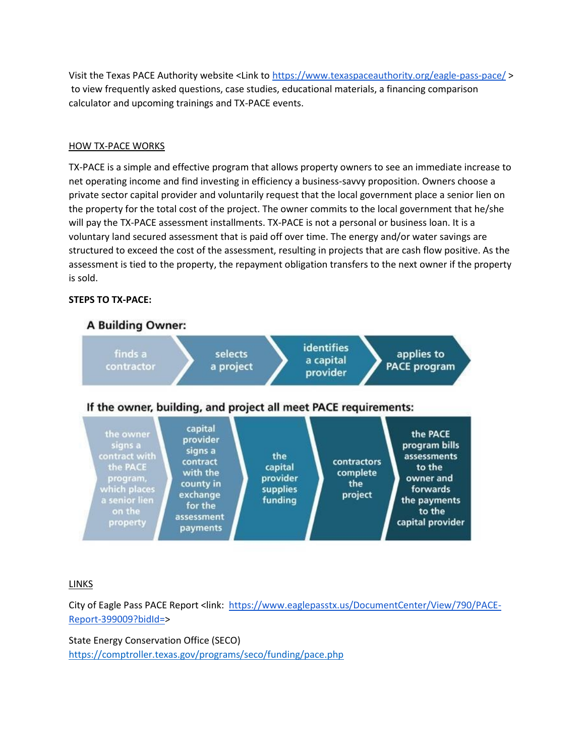Visit the Texas PACE Authority website <Link to<https://www.texaspaceauthority.org/eagle-pass-pace/> > to view frequently asked questions, case studies, educational materials, a financing comparison calculator and upcoming trainings and TX-PACE events.

# HOW TX-PACE WORKS

TX-PACE is a simple and effective program that allows property owners to see an immediate increase to net operating income and find investing in efficiency a business-savvy proposition. Owners choose a private sector capital provider and voluntarily request that the local government place a senior lien on the property for the total cost of the project. The owner commits to the local government that he/she will pay the TX-PACE assessment installments. TX-PACE is not a personal or business loan. It is a voluntary land secured assessment that is paid off over time. The energy and/or water savings are structured to exceed the cost of the assessment, resulting in projects that are cash flow positive. As the assessment is tied to the property, the repayment obligation transfers to the next owner if the property is sold.

# **STEPS TO TX-PACE:**



## LINKS

City of Eagle Pass PACE Report <link: [https://www.eaglepasstx.us/DocumentCenter/View/790/PACE-](https://www.eaglepasstx.us/DocumentCenter/View/790/PACE-Report-399009?bidId=)[Report-399009?bidId=>](https://www.eaglepasstx.us/DocumentCenter/View/790/PACE-Report-399009?bidId=)

State Energy Conservation Office (SECO) <https://comptroller.texas.gov/programs/seco/funding/pace.php>